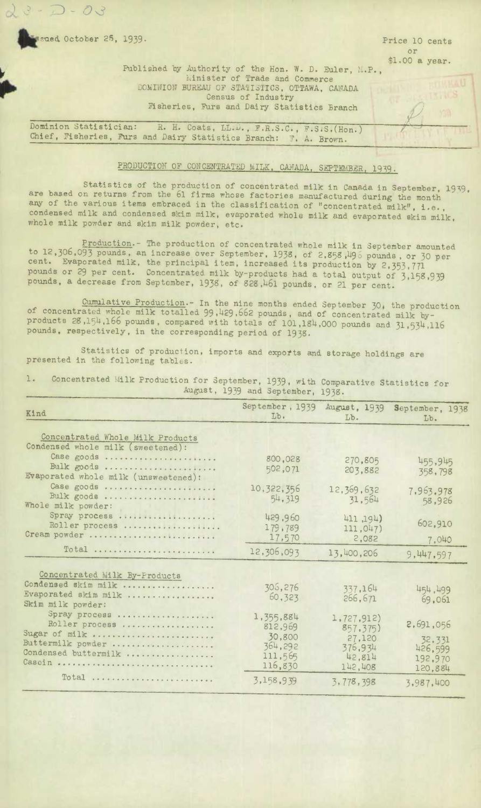$3 - D - 03$ 

Price 10 cents or \$1.00 a year.

## Published by Authority of the Hon. W. D. Euler, M.P., Minister of Trade and Commerce DOMINION BUREAU OF STATISTICS, OTTAWA, CANADA Census of Industry ?isheries, Furs and Dairy Statistics Branch

Dominion Statistician: R. H. Coats, LL.D., F.R.S.C., F.S.S.(Hon.) Chief, Fisheries, Furs and Dairy Statistics Branch: J. A. Brown.

## PRODUCTION OF CONCENTRATED MILK, CANADA, SEPTEMBER, 1939.

Statistics of the production of concentrated milk in Canada in September, 1919, are based on returns from the 61 firms whose factories manufactured during the month any of the various items embraced in the classification of "concentrated milk", i.e., condensed milk and condensed skim milk, evaporated whole milk and evaporated skim milk, whole milk powder and skim milk powder, etc.

Production.- The production of concentrated whole milk in September amounted<br>to 12,306,093 pounds, an increase over September, 1938, of 2,858,496 pounds, or 30 per cent. Evaporated milk, the principal item, increased its production by 2,353,771<br>pounds or 29 per cent. Concentrated milk by-products had a total output of 3,158,939<br>pounds, a decrease from September, 1938, of 828,461 poun

Cumulative Production.- In the nine months ended September 30, the production<br>of concentrated whole milk totalled 99,429,662 pounds, and of concentrated milk by-<br>products 28,154,166 pounds, compared with totals of 101,184

Statistics of production, imports and exports and storage holdings are presented in the following tables.

1. Concentrated Milk Production for September, 1939, with Comparative Statistics for August, 1939 and September, 1939-

| Kind                                                                                                    | September, 1939<br>Lb.                                          | August, 1939<br>Lb.                                               | September, 1938<br>Lb.                                |
|---------------------------------------------------------------------------------------------------------|-----------------------------------------------------------------|-------------------------------------------------------------------|-------------------------------------------------------|
| Concentrated Whole Milk Products<br>Condensed whole milk (sweetened):                                   |                                                                 |                                                                   |                                                       |
| Case goods<br>Bulk goods<br>Evaporated whole milk (unsweetened):                                        | 800,028<br>502,071                                              | 270,805<br>203,882                                                | 455,945<br>358,798                                    |
| Case goods<br>Bulk goods<br>Whole milk powder:                                                          | 10, 322, 356<br>54,319                                          | 12,369,632<br>31,564                                              | 7,963,978<br>58,926                                   |
| Spray process<br>Roller process<br>Cream powder                                                         | 429,960<br>179,789<br>17,570                                    | 411,194)<br>111,047)<br>2,082                                     | 602,910<br>7,040                                      |
| Total                                                                                                   | 12,306,093                                                      | 13,400,206                                                        | 9,447,597                                             |
| Concentrated Milk By-Products<br>Condensed skim milk<br>Evaporated skim milk<br>Skim milk powder:       | 306,276<br>60,323                                               | 337,164<br>266, 671                                               | 454,499<br>69,061                                     |
| Spray process<br>Roller process<br>Sugar of milk<br>Buttermilk powder<br>Condensed buttermilk<br>Casein | 1,355,884<br>812,969<br>30,800<br>364,292<br>111,565<br>116,830 | 1,727,912)<br>857, 375)<br>27,120<br>376.934<br>42.814<br>142,408 | 2,691,056<br>32, 331<br>426,599<br>192,970<br>120.884 |
| Total                                                                                                   | 3,158,939                                                       | 3,778,398                                                         | 3,987,400                                             |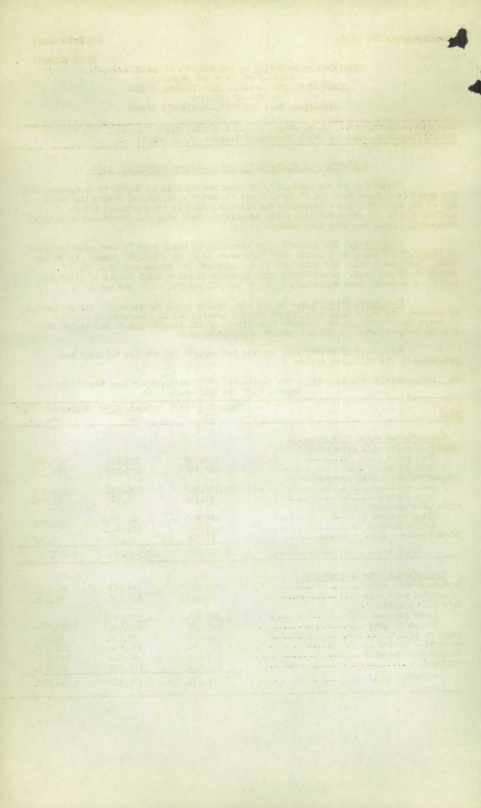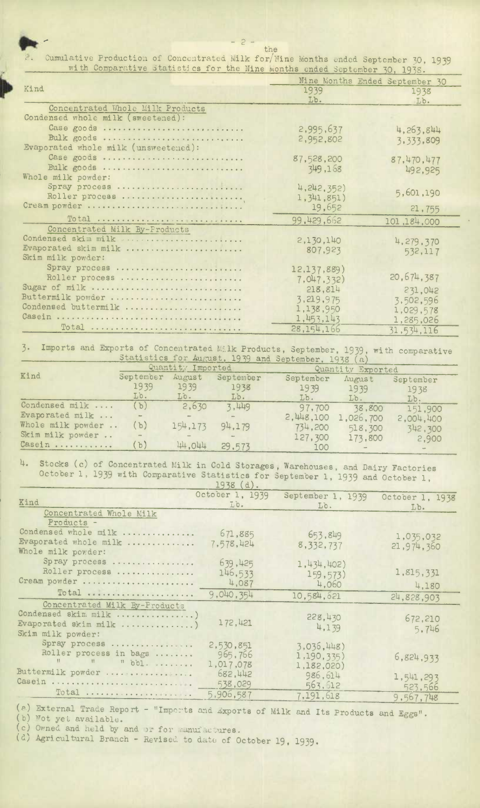$2$ the

2. Cumulative Production of Concentrated Milk for Nine Months ended September 30, 1939 with Comparative statistics for the Nine Months ended September 30, 1938.

| 1939<br>1938<br>Lb.<br>Lb.<br>Concentrated Whole Milk Products<br>Condensed whole milk (sweetened):<br>Case goods<br>2,995,637<br>4,263,844<br>Bulk goods<br>2,952,802<br>3, 333, 809<br>Evaporated whole milk (unsweetened):<br>Case goods<br>87,528,200<br>87,470,477<br>Bulk goods<br>349,168<br>492,925<br>Spray process<br>4, 242, 352)<br>5,601,190<br>Roller process<br>1, 341, 851)<br>Cream powder<br>19,652<br>21,755<br>Total<br>99,429,662<br>101,184,000<br>Concentrated Milk By-Products<br>Condensed skim milk<br>2,130,140<br>4, 279, 370<br>Evaporated skim milk<br>807,923<br>532,117<br>Spray process<br>12, 137, 889) |                      | Nine Months Ended September 30 |              |
|-------------------------------------------------------------------------------------------------------------------------------------------------------------------------------------------------------------------------------------------------------------------------------------------------------------------------------------------------------------------------------------------------------------------------------------------------------------------------------------------------------------------------------------------------------------------------------------------------------------------------------------------|----------------------|--------------------------------|--------------|
|                                                                                                                                                                                                                                                                                                                                                                                                                                                                                                                                                                                                                                           | Kind                 |                                |              |
|                                                                                                                                                                                                                                                                                                                                                                                                                                                                                                                                                                                                                                           |                      |                                |              |
|                                                                                                                                                                                                                                                                                                                                                                                                                                                                                                                                                                                                                                           |                      |                                |              |
|                                                                                                                                                                                                                                                                                                                                                                                                                                                                                                                                                                                                                                           |                      |                                |              |
|                                                                                                                                                                                                                                                                                                                                                                                                                                                                                                                                                                                                                                           |                      |                                |              |
|                                                                                                                                                                                                                                                                                                                                                                                                                                                                                                                                                                                                                                           |                      |                                |              |
|                                                                                                                                                                                                                                                                                                                                                                                                                                                                                                                                                                                                                                           |                      |                                |              |
|                                                                                                                                                                                                                                                                                                                                                                                                                                                                                                                                                                                                                                           |                      |                                |              |
|                                                                                                                                                                                                                                                                                                                                                                                                                                                                                                                                                                                                                                           |                      |                                |              |
|                                                                                                                                                                                                                                                                                                                                                                                                                                                                                                                                                                                                                                           | Whole milk powder:   |                                |              |
|                                                                                                                                                                                                                                                                                                                                                                                                                                                                                                                                                                                                                                           |                      |                                |              |
|                                                                                                                                                                                                                                                                                                                                                                                                                                                                                                                                                                                                                                           |                      |                                |              |
|                                                                                                                                                                                                                                                                                                                                                                                                                                                                                                                                                                                                                                           |                      |                                |              |
|                                                                                                                                                                                                                                                                                                                                                                                                                                                                                                                                                                                                                                           |                      |                                |              |
|                                                                                                                                                                                                                                                                                                                                                                                                                                                                                                                                                                                                                                           |                      |                                |              |
|                                                                                                                                                                                                                                                                                                                                                                                                                                                                                                                                                                                                                                           |                      |                                |              |
|                                                                                                                                                                                                                                                                                                                                                                                                                                                                                                                                                                                                                                           |                      |                                |              |
|                                                                                                                                                                                                                                                                                                                                                                                                                                                                                                                                                                                                                                           | Skim milk powder:    |                                |              |
|                                                                                                                                                                                                                                                                                                                                                                                                                                                                                                                                                                                                                                           |                      |                                |              |
| 7,047,332)                                                                                                                                                                                                                                                                                                                                                                                                                                                                                                                                                                                                                                | Roller process       |                                | 20, 674, 387 |
| 218,814<br>231,042                                                                                                                                                                                                                                                                                                                                                                                                                                                                                                                                                                                                                        | Sugar of milk        |                                |              |
| 3,219,975<br>3,502,596                                                                                                                                                                                                                                                                                                                                                                                                                                                                                                                                                                                                                    | Buttermilk powder    |                                |              |
| 1,138,950<br>1,029,578                                                                                                                                                                                                                                                                                                                                                                                                                                                                                                                                                                                                                    | Condensed buttermilk |                                |              |
| 1,453,143<br>1,285,026                                                                                                                                                                                                                                                                                                                                                                                                                                                                                                                                                                                                                    |                      |                                |              |
| Total<br>28, 154, 166<br>31, 534, 116                                                                                                                                                                                                                                                                                                                                                                                                                                                                                                                                                                                                     |                      |                                |              |

3. Imports and Exports of Concentrated Milk Products, September, 1939, with comparative Statistics for August, 1939 and September, 1938 (a)

|                   | Quantity Imported |         | Quantity Exported |           |           |           |
|-------------------|-------------------|---------|-------------------|-----------|-----------|-----------|
| Kind              | September         | August  | September         | September | August    | September |
|                   | 1939              | 1939    | 1938              | 1939      | 1939      | 1938      |
|                   | Lb.               | Lb.     | Lb.               | Lb.       | Lb.       | Lb.       |
| Condensed milk    | (b)               | 2,630   | 3,449             | 97,700    | 38,800    | 151,900   |
| Evaporated $milk$ |                   |         |                   | 2,448,100 | 1,026,700 | 2,004,400 |
| Whole milk powder | (b)               | 154,173 | 94,179            | 734,200   | 518,300   | 342,300   |
| Skim milk powder  | $\sim$            |         |                   | 127,300   | 173,800   | 2,900     |
| Casein            | $\mathbf{b}$      | 44.044  | 29,573            | 100       |           |           |

Stocks (c) of Concentrated Milk in Cold Storages, Warehouses, and Dairy Factories<br>October 1, 1939 with Comparative Statistics for September 1, 1939 and October 1, 4.  $1938(d)$ .

| Kind                          | October 1, 1939<br>Lb. | September 1, 1939<br>Lb. | October 1, 1938 |
|-------------------------------|------------------------|--------------------------|-----------------|
| Concentrated Whole Milk       |                        |                          | Lb.             |
| Products -                    |                        |                          |                 |
| Condensed whole milk          | 671,885                | 653.849                  | 1,035,032       |
| Evaporated whole milk         | 7,578,424              | 8,332,737                | 21, 974, 360    |
| Whole milk powder:            |                        |                          |                 |
| Spray process                 | 639,425                | 1,434,402)               |                 |
| Roller process                | 146,533                | 159, 573)                | 1,815,331       |
| Cream powder                  | 4,087                  | 4,060                    | 4,180           |
| Total                         | 9,040,354              | 10,584,621               | 24,828,903      |
| Concentrated Milk By-Products |                        |                          |                 |
| Condensed skim milk )         |                        | 228,430                  | 672,210         |
| Evaporated skim milk )        | 172,421                | 4,139                    | 5,746           |
| Skim milk powder:             |                        |                          |                 |
| Spray process                 | 2,530,851              | 3,036,448)               |                 |
| Roller process in bags        | 965,766                | 1,190,335)               | 6,824,933       |
| 11 11 11 bbl.                 | 1,017,078              | 1,182,020)               |                 |
| Buttermilk powder             | 682,442                | 986,614                  | 1,541,293       |
| Casein                        | 538,029                | 563, 512                 | 523,566         |
| Total                         | 5,906,587              | 7,191,618                | 9,567,748       |

(a) External Trade Report - "Imperts and Exports of Milk and Its Products and Eggs".

(b) Not yet available.

(c) Owned and held by and or for manufactures.<br>(d) Agricultural Branch - Revised to date of October 19, 1939.